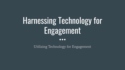# Harnessing Technology for Engagement

 $\bullet \bullet \bullet$ 

Utilizing Technology for Engagement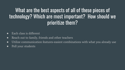# What are the best aspects of all of these pieces of technology? Which are most important? How should we prioritize them?

- Each class is different
- Reach out to family, friends and other teachers
- Utilize communication features-easiest combinations with what you already use
- Poll your students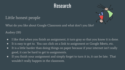# Research



#### Little honest people

What do you like about Google Classroom and what don't you like?

Audrey (10)

- I like that when you finish an assignment, it turn gray so that you know it is done.
- It is easy to get to. You can click on a link to assignment or Google Meets, etc.
- It is a little harder than doing things on paper because if your internet isn't really good, it can be hard to get to assignments.
- If you finish your assignment and simply forget to turn it in, it can be late. That wouldn't really happen in the classroom.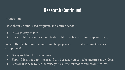## Research Continued

Audrey (10)

How about Zoom? (used for piano and church school)

- It is also easy to join
- It seems like Zoom has more features like reactions (thumbs up and such).

What other technology do you think helps you with virtual learning (besides computer:)?

- Google-slides, classroom, meet
- Flipgrid-It is good for music and art, because you can take pictures and videos.
- Seesaw-It is easy to use, because you can use textboxes and draw pictures.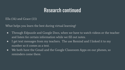### Research continued

Ella (14) and Grace (13)

What helps you learn the best during virtual learning?

- Through Edpuzzle and Google Docs, when we have to watch videos or the teacher and listen for certain information while we fill out notes.
- I get text messages from my teachers. The use Remind and I linked it to my number so it comes as a text.
- We both have the Gmail and the Google Classroom Apps on our phones, so reminders come there.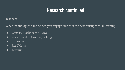# Research continued

**Teachers** 

What technologies have helped you engage students the best during virtual learning?

- Canvas, Blackboard (LMS)
- Zoom-breakout rooms, polling
- EdPuzzle
- ReadWorks
- Texting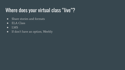# Where does your virtual class "live"?

- Share stories and formats
- ELA Class
- LMS
- If don't have an option, Weebly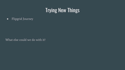# Trying New Things

● Flipgrid Journey

What else could we do with it?